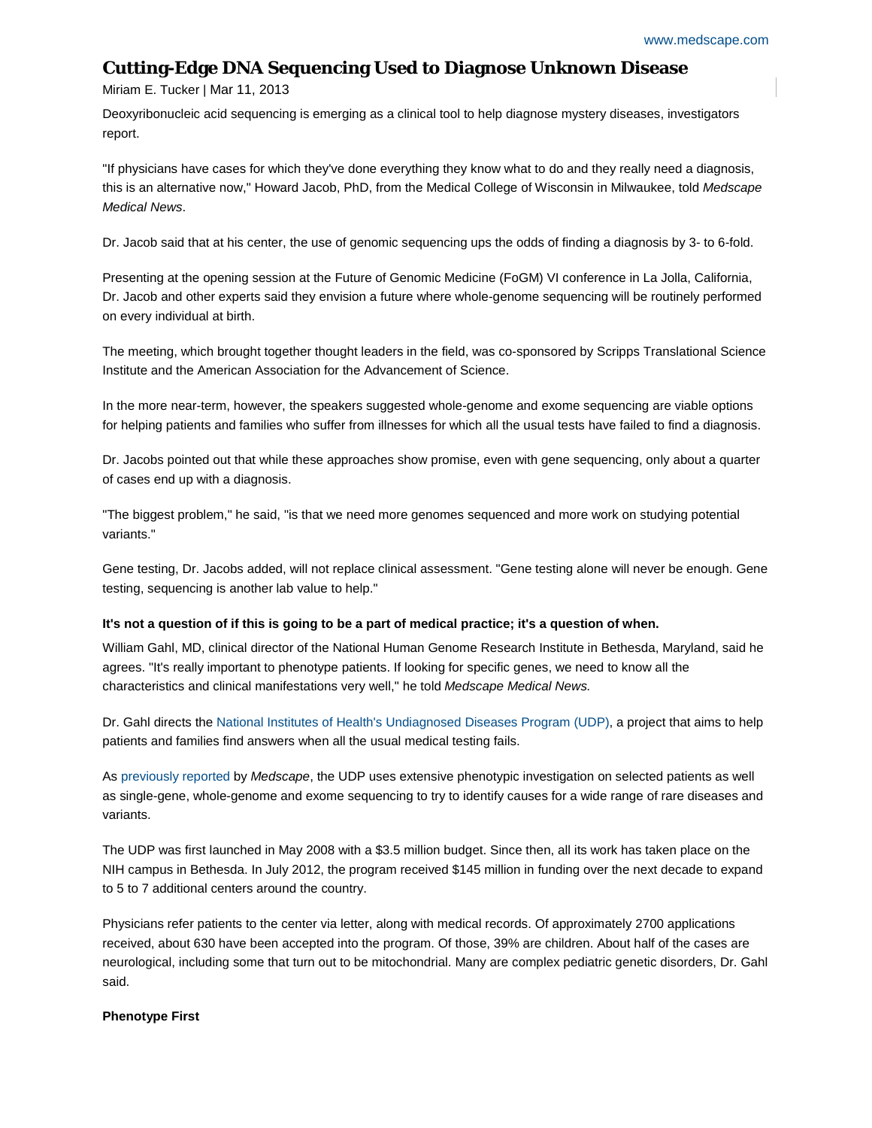# **Cutting-Edge DNA Sequencing Used to Diagnose Unknown Disease**

## Miriam E. Tucker | Mar 11, 2013

Deoxyribonucleic acid sequencing is emerging as a clinical tool to help diagnose mystery diseases, investigators report.

"If physicians have cases for which they've done everything they know what to do and they really need a diagnosis, this is an alternative now," Howard Jacob, PhD, from the Medical College of Wisconsin in Milwaukee, told *Medscape Medical News*.

Dr. Jacob said that at his center, the use of genomic sequencing ups the odds of finding a diagnosis by 3- to 6-fold.

Presenting at the opening session at the Future of Genomic Medicine (FoGM) VI conference in La Jolla, California, Dr. Jacob and other experts said they envision a future where whole-genome sequencing will be routinely performed on every individual at birth.

The meeting, which brought together thought leaders in the field, was co-sponsored by Scripps Translational Science Institute and the American Association for the Advancement of Science.

In the more near-term, however, the speakers suggested whole-genome and exome sequencing are viable options for helping patients and families who suffer from illnesses for which all the usual tests have failed to find a diagnosis.

Dr. Jacobs pointed out that while these approaches show promise, even with gene sequencing, only about a quarter of cases end up with a diagnosis.

"The biggest problem," he said, "is that we need more genomes sequenced and more work on studying potential variants."

Gene testing, Dr. Jacobs added, will not replace clinical assessment. "Gene testing alone will never be enough. Gene testing, sequencing is another lab value to help."

### **It's not a question of if this is going to be a part of medical practice; it's a question of when.**

William Gahl, MD, clinical director of the National Human Genome Research Institute in Bethesda, Maryland, said he agrees. "It's really important to phenotype patients. If looking for specific genes, we need to know all the characteristics and clinical manifestations very well," he told *Medscape Medical News.*

Dr. Gahl directs the [National Institutes of Health's Undiagnosed Diseases Program \(UDP\),](http://rarediseases.info.nih.gov/Resources.aspx?PageID=31) a project that aims to help patients and families find answers when all the usual medical testing fails.

As [previously reported](http://boards.medscape.com/forums?128@1.BCrgabS2bMZ@.2a2e1ad3!comment=1) by *Medscape*, the UDP uses extensive phenotypic investigation on selected patients as well as single-gene, whole-genome and exome sequencing to try to identify causes for a wide range of rare diseases and variants.

The UDP was first launched in May 2008 with a \$3.5 million budget. Since then, all its work has taken place on the NIH campus in Bethesda. In July 2012, the program received \$145 million in funding over the next decade to expand to 5 to 7 additional centers around the country.

Physicians refer patients to the center via letter, along with medical records. Of approximately 2700 applications received, about 630 have been accepted into the program. Of those, 39% are children. About half of the cases are neurological, including some that turn out to be mitochondrial. Many are complex pediatric genetic disorders, Dr. Gahl said.

### **Phenotype First**